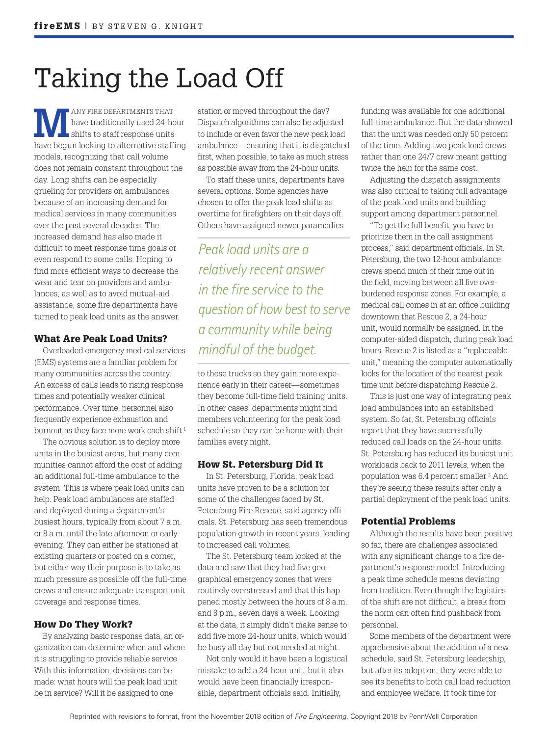# Taking the Load Off

**MANY FIRE DEPARTMENTS THAT**<br>have traditionally used 24-ho<br>shifts to staff response units: have traditionally used 24-hour shifts to staff response units have begun looking to alternative staffing models, recognizing that call volume does not remain constant throughout the day. Long shifts can be especially grueling for providers on ambulances because of an increasing demand for medical services in many communities over the past several decades. The increased demand has also made it difficult to meet response time goals or even respond to some calls. Hoping to find more efficient ways to decrease the wear and tear on providers and ambulances, as well as to avoid mutual-aid assistance, some fire departments have turned to peak load units as the answer.

### What Are Peak Load Units?

Overloaded emergency medical services (EMS) systems are a familiar problem for many communities across the country. An excess of calls leads to rising response times and potentially weaker clinical performance. Over time, personnel also frequently experience exhaustion and burnout as they face more work each shift.<sup>1</sup>

The obvious solution is to deploy more units in the busiest areas, but many communities cannot afford the cost of adding an additional full-time ambulance to the system. This is where peak load units can help. Peak load ambulances are staffed and deployed during a department's busiest hours, typically from about 7 a.m. or 8 a.m. until the late afternoon or early evening. They can either be stationed at existing quarters or posted on a corner, but either way their purpose is to take as much pressure as possible off the full-time crews and ensure adequate transport unit coverage and response times.

## How Do They Work?

By analyzing basic response data, an organization can determine when and where it is struggling to provide reliable service. With this information, decisions can be made: what hours will the peak load unit be in service? Will it be assigned to one

station or moved throughout the day? Dispatch algorithms can also be adjusted to include or even favor the new peak load ambulance—ensuring that it is dispatched first, when possible, to take as much stress as possible away from the 24-hour units.

To staff these units, departments have several options. Some agencies have chosen to offer the peak load shifts as overtime for firefighters on their days off. Others have assigned newer paramedics

*Peak load units are a relatively recent answer in the fire service to the question of how best to serve a community while being mindful of the budget.*

to these trucks so they gain more experience early in their career—sometimes they become full-time field training units. In other cases, departments might find members volunteering for the peak load schedule so they can be home with their families every night.

#### How St. Petersburg Did It

In St. Petersburg, Florida, peak load units have proven to be a solution for some of the challenges faced by St. Petersburg Fire Rescue, said agency officials. St. Petersburg has seen tremendous population growth in recent years, leading to increased call volumes.

The St. Petersburg team looked at the data and saw that they had five geographical emergency zones that were routinely overstressed and that this happened mostly between the hours of 8 a.m. and 8 p.m., seven days a week. Looking at the data, it simply didn't make sense to add five more 24-hour units, which would be busy all day but not needed at night.

Not only would it have been a logistical mistake to add a 24-hour unit, but it also would have been financially irresponsible, department officials said. Initially,

funding was available for one additional full-time ambulance. But the data showed that the unit was needed only 50 percent of the time. Adding two peak load crews rather than one 24/7 crew meant getting twice the help for the same cost.

Adjusting the dispatch assignments was also critical to taking full advantage of the peak load units and building support among department personnel.

"To get the full benefit, you have to prioritize them in the call assignment process," said department officials. In St. Petersburg, the two 12-hour ambulance crews spend much of their time out in the field, moving between all five overburdened response zones. For example, a medical call comes in at an office building downtown that Rescue 2, a 24-hour unit, would normally be assigned. In the computer-aided dispatch, during peak load hours, Rescue 2 is listed as a "replaceable unit," meaning the computer automatically looks for the location of the nearest peak time unit before dispatching Rescue 2.

This is just one way of integrating peak load ambulances into an established system. So far, St. Petersburg officials report that they have successfully reduced call loads on the 24-hour units. St. Petersburg has reduced its busiest unit workloads back to 2011 levels, when the population was 6.4 percent smaller.2 And they're seeing these results after only a partial deployment of the peak load units.

#### Potential Problems

Although the results have been positive so far, there are challenges associated with any significant change to a fire department's response model. Introducing a peak time schedule means deviating from tradition. Even though the logistics of the shift are not difficult, a break from the norm can often find pushback from personnel.

Some members of the department were apprehensive about the addition of a new schedule, said St. Petersburg leadership, but after its adoption, they were able to see its benefits to both call load reduction and employee welfare. It took time for